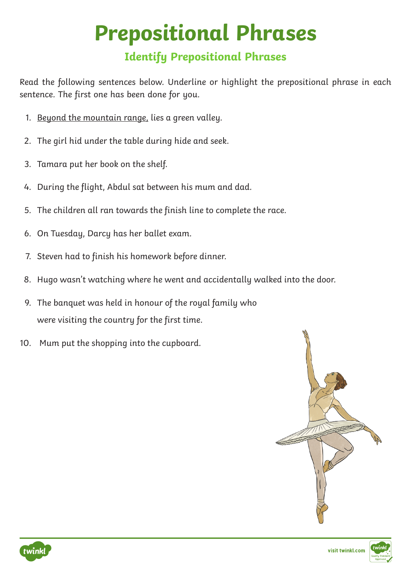## **Prepositional Phrases**

## **Identify Prepositional Phrases**

Read the following sentences below. Underline or highlight the prepositional phrase in each sentence. The first one has been done for you.

- 1. Beyond the mountain range, lies a green valley.
- 2. The girl hid under the table during hide and seek.
- 3. Tamara put her book on the shelf.
- 4. During the flight, Abdul sat between his mum and dad.
- 5. The children all ran towards the finish line to complete the race.
- 6. On Tuesday, Darcy has her ballet exam.
- 7. Steven had to finish his homework before dinner.
- 8. Hugo wasn't watching where he went and accidentally walked into the door.
- 9. The banquet was held in honour of the royal family who were visiting the country for the first time.
- 10. Mum put the shopping into the cupboard.